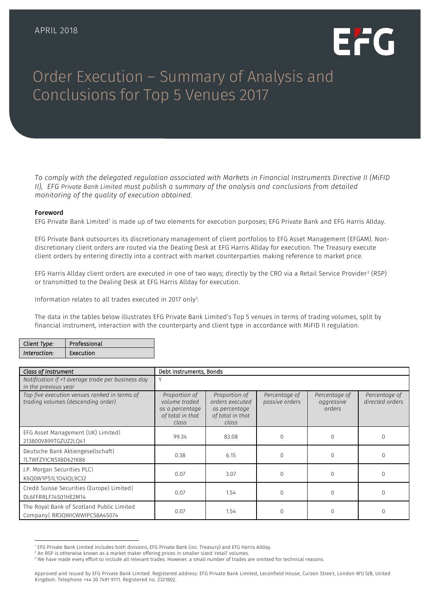

# Order Execution – Summary of Analysis and Conclusions for Top 5 Venues 2017

*To comply with the delegated regulation associated with Markets in Financial Instruments Directive II (MiFID II), EFG Private Bank Limited must publish a summary of the analysis and conclusions from detailed monitoring of the quality of execution obtained.*

#### Foreword

EFG Private Bank Limited<sup>1</sup> is made up of two elements for execution purposes; EFG Private Bank and EFG Harris Allday.

EFG Private Bank outsources its discretionary management of client portfolios to EFG Asset Management (EFGAM). Nondiscretionary client orders are routed via the Dealing Desk at EFG Harris Allday for execution. The Treasury execute client orders by entering directly into a contract with market counterparties making reference to market price.

EFG Harris Allday client orders are executed in one of two ways; directly by the CRO via a Retail Service Provider $^2$  (RSP) or transmitted to the Dealing Desk at EFG Harris Allday for execution.

Information relates to all trades executed in 2017 only<sup>3</sup>.

The data in the tables below illustrates EFG Private Bank Limited's Top 5 venues in terms of trading volumes, split by financial instrument, interaction with the counterparty and client type in accordance with MiFID II regulation.

| Client Type: | Professional |
|--------------|--------------|
| Interaction: | Execution    |

| Class of Instrument                                                                | Debt instruments, Bonds                                                        |                                                                                |                                 |                                       |                                  |
|------------------------------------------------------------------------------------|--------------------------------------------------------------------------------|--------------------------------------------------------------------------------|---------------------------------|---------------------------------------|----------------------------------|
| Notification if <1 average trade per business day<br>in the previous year          | V                                                                              |                                                                                |                                 |                                       |                                  |
| Top five execution venues ranked in terms of<br>trading volumes (descending order) | Proportion of<br>volume traded<br>as a percentage<br>of total in that<br>class | Proportion of<br>orders executed<br>as percentage<br>of total in that<br>class | Percentage of<br>passive orders | Percentage of<br>aggressive<br>orders | Percentage of<br>directed orders |
| EFG Asset Management (UK) Limited<br>213800V899TGZUZ2LQ41                          | 99.34                                                                          | 83.08                                                                          | $\Omega$                        | $\Omega$                              | $\Omega$                         |
| Deutsche Bank Aktiengesellschaft<br>7LTWFZYICNSX8D621K86                           | 0.38                                                                           | 6.15                                                                           | $\mathbf 0$                     | 0                                     | $\Omega$                         |
| J.P. Morgan Securities PLC<br>K6Q0W1PS1L1O4IQL9C32                                 | 0.07                                                                           | 3.07                                                                           | $\Omega$                        |                                       |                                  |
| Credit Suisse Securities (Europe) Limited<br>DL6FFRRLF74S01HE2M14                  | 0.07                                                                           | 1.54                                                                           | $\Omega$                        | O                                     | $\Omega$                         |
| The Royal Bank of Scotland Public Limited<br>Company RR3QWICWWIPCS8A4S074          | 0.07                                                                           | 1.54                                                                           |                                 |                                       |                                  |

j <sup>1</sup> EFG Private Bank Limited includes both divisions, EFG Private Bank (inc. Treasury) and EFG Harris Allday.

<sup>&</sup>lt;sup>2</sup> An RSP is otherwise known as a market maker offering prices in smaller sized 'retail' volumes.

<sup>&</sup>lt;sup>3</sup> We have made every effort to include all relevant trades. However, a small number of trades are omitted for technical reasons.

Approved and issued by EFG Private Bank Limited. Registered address: EFG Private Bank Limited, Leconfield House, Curzon Stree t, London W1J 5JB, United Kingdom. Telephone +44 20 7491 9111. Registered no. 2321802.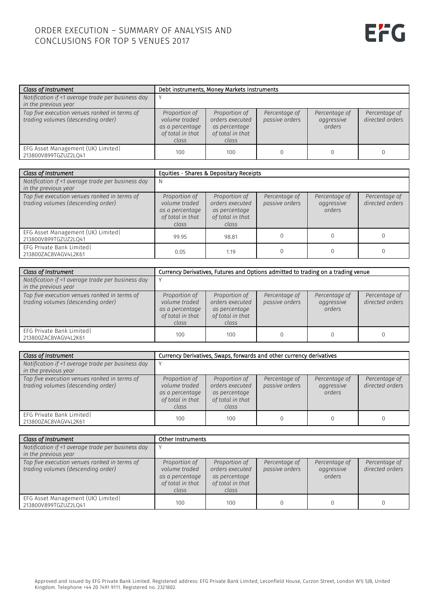| Class of Instrument                                                                |                                                                                | Debt instruments, Money Markets Instruments                                    |                                 |                                       |                                  |
|------------------------------------------------------------------------------------|--------------------------------------------------------------------------------|--------------------------------------------------------------------------------|---------------------------------|---------------------------------------|----------------------------------|
| Notification if <1 average trade per business day<br>in the previous year          |                                                                                |                                                                                |                                 |                                       |                                  |
| Top five execution venues ranked in terms of<br>trading volumes (descending order) | Proportion of<br>volume traded<br>as a percentage<br>of total in that<br>class | Proportion of<br>orders executed<br>as percentage<br>of total in that<br>class | Percentage of<br>passive orders | Percentage of<br>aggressive<br>orders | Percentage of<br>directed orders |
| EFG Asset Management (UK) Limited<br>213800V899TGZUZ2LO41                          | 100                                                                            | 100                                                                            |                                 |                                       |                                  |

| Class of Instrument                                                                |                                                                                | Equities - Shares & Depositary Receipts                                        |                                 |                                       |                                  |
|------------------------------------------------------------------------------------|--------------------------------------------------------------------------------|--------------------------------------------------------------------------------|---------------------------------|---------------------------------------|----------------------------------|
| Notification if <1 average trade per business day<br>in the previous year          | N                                                                              |                                                                                |                                 |                                       |                                  |
| Top five execution venues ranked in terms of<br>trading volumes (descending order) | Proportion of<br>volume traded<br>as a percentage<br>of total in that<br>class | Proportion of<br>orders executed<br>as percentage<br>of total in that<br>class | Percentage of<br>passive orders | Percentage of<br>aggressive<br>orders | Percentage of<br>directed orders |
| EFG Asset Management (UK) Limited<br>213800V899TGZUZ2LQ41                          | 99.95                                                                          | 98.81                                                                          |                                 |                                       |                                  |
| EFG Private Bank Limited<br>213800ZAC8VAGV4L2K61                                   | 0.05                                                                           | 1.19                                                                           |                                 |                                       |                                  |

| Class of Instrument                                                                |                                                                                | Currency Derivatives, Futures and Options admitted to trading on a trading venue |                                 |                                       |                                  |
|------------------------------------------------------------------------------------|--------------------------------------------------------------------------------|----------------------------------------------------------------------------------|---------------------------------|---------------------------------------|----------------------------------|
| Notification if <1 average trade per business day<br>in the previous year          |                                                                                |                                                                                  |                                 |                                       |                                  |
| Top five execution venues ranked in terms of<br>trading volumes (descending order) | Proportion of<br>volume traded<br>as a percentage<br>of total in that<br>class | Proportion of<br>orders executed<br>as percentage<br>of total in that<br>class   | Percentage of<br>passive orders | Percentage of<br>aggressive<br>orders | Percentage of<br>directed orders |
| EFG Private Bank Limited<br>213800ZAC8VAGV4L2K61                                   | 100                                                                            | 100                                                                              | 0                               |                                       |                                  |

| Class of Instrument                                                                |                                                                                | Currency Derivatives, Swaps, forwards and other currency derivatives           |                                 |                                       |                                  |
|------------------------------------------------------------------------------------|--------------------------------------------------------------------------------|--------------------------------------------------------------------------------|---------------------------------|---------------------------------------|----------------------------------|
| Notification if <1 average trade per business day<br>in the previous year          |                                                                                |                                                                                |                                 |                                       |                                  |
| Top five execution venues ranked in terms of<br>trading volumes (descending order) | Proportion of<br>volume traded<br>as a percentage<br>of total in that<br>class | Proportion of<br>orders executed<br>as percentage<br>of total in that<br>class | Percentage of<br>passive orders | Percentage of<br>aggressive<br>orders | Percentage of<br>directed orders |
| EFG Private Bank Limited<br>213800ZAC8VAGV4L2K61                                   | 100                                                                            | 100                                                                            |                                 |                                       |                                  |

| Class of Instrument                                                                | <b>Other Instruments</b>                                                       |                                                                                |                                 |                                       |                                  |
|------------------------------------------------------------------------------------|--------------------------------------------------------------------------------|--------------------------------------------------------------------------------|---------------------------------|---------------------------------------|----------------------------------|
| Notification if <1 average trade per business day<br>in the previous year          |                                                                                |                                                                                |                                 |                                       |                                  |
| Top five execution venues ranked in terms of<br>trading volumes (descending order) | Proportion of<br>volume traded<br>as a percentage<br>of total in that<br>class | Proportion of<br>orders executed<br>as percentage<br>of total in that<br>class | Percentage of<br>passive orders | Percentage of<br>aggressive<br>orders | Percentage of<br>directed orders |
| EFG Asset Management (UK) Limited<br>213800V899TGZUZ2LO41                          | 100                                                                            | 100                                                                            |                                 |                                       |                                  |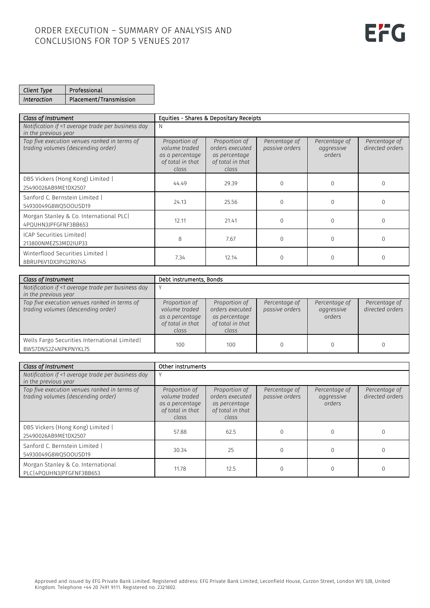| Client Type | Professional           |
|-------------|------------------------|
| Interaction | Placement/Transmission |

| Class of Instrument                                                                |                                                                                | Equities - Shares & Depositary Receipts                                        |                                 |                                       |                                  |
|------------------------------------------------------------------------------------|--------------------------------------------------------------------------------|--------------------------------------------------------------------------------|---------------------------------|---------------------------------------|----------------------------------|
| Notification if <1 average trade per business day<br>in the previous year          | <sup>N</sup>                                                                   |                                                                                |                                 |                                       |                                  |
| Top five execution venues ranked in terms of<br>trading volumes (descending order) | Proportion of<br>volume traded<br>as a percentage<br>of total in that<br>class | Proportion of<br>orders executed<br>as percentage<br>of total in that<br>class | Percentage of<br>passive orders | Percentage of<br>aggressive<br>orders | Percentage of<br>directed orders |
| DBS Vickers (Hong Kong) Limited  <br>25490026AB9ME1DX2507                          | 44.49                                                                          | 29.39                                                                          | $\Omega$                        | $\Omega$                              | <sup>n</sup>                     |
| Sanford C. Bernstein Limited  <br>54930049G8WQ5OOUSD19                             | 24.13                                                                          | 25.56                                                                          | $\mathbf 0$                     | $\Omega$                              |                                  |
| Morgan Stanley & Co. International PLC<br>4PQUHN3JPFGFNF3BB653                     | 12.11                                                                          | 21.41                                                                          | $\Omega$                        | $\Omega$                              |                                  |
| ICAP Securities Limited<br>213800NMEZS3MD2IUP33                                    | 8                                                                              | 7.67                                                                           | $\mathbf 0$                     | $\Omega$                              |                                  |
| Winterflood Securities Limited  <br>8BRUP6V1DX3PIG2R0745                           | 7.34                                                                           | 12.14                                                                          |                                 |                                       |                                  |

| Class of Instrument                                                                | Debt instruments, Bonds                                                        |                                                                                |                                 |                                       |                                  |
|------------------------------------------------------------------------------------|--------------------------------------------------------------------------------|--------------------------------------------------------------------------------|---------------------------------|---------------------------------------|----------------------------------|
| Notification if <1 average trade per business day<br>in the previous year          |                                                                                |                                                                                |                                 |                                       |                                  |
| Top five execution venues ranked in terms of<br>trading volumes (descending order) | Proportion of<br>volume traded<br>as a percentage<br>of total in that<br>class | Proportion of<br>orders executed<br>as percentage<br>of total in that<br>class | Percentage of<br>passive orders | Percentage of<br>aggressive<br>orders | Percentage of<br>directed orders |
| Wells Fargo Securities International Limited<br>BWS7DNS2Z4NPKPNYKL75               | 100                                                                            | 100                                                                            |                                 |                                       |                                  |

| Class of Instrument                                                                | Other instruments                                                              |                                                                                |                                 |                                       |                                  |
|------------------------------------------------------------------------------------|--------------------------------------------------------------------------------|--------------------------------------------------------------------------------|---------------------------------|---------------------------------------|----------------------------------|
| Notification if <1 average trade per business day<br>in the previous year          |                                                                                |                                                                                |                                 |                                       |                                  |
| Top five execution venues ranked in terms of<br>trading volumes (descending order) | Proportion of<br>volume traded<br>as a percentage<br>of total in that<br>class | Proportion of<br>orders executed<br>as percentage<br>of total in that<br>class | Percentage of<br>passive orders | Percentage of<br>aggressive<br>orders | Percentage of<br>directed orders |
| DBS Vickers (Hong Kong) Limited  <br>25490026AB9ME1DX2507                          | 57.88                                                                          | 62.5                                                                           | 0                               |                                       |                                  |
| Sanford C. Bernstein Limited  <br>54930049G8WQ5OOUSD19                             | 30.34                                                                          | 25                                                                             | $\Omega$                        |                                       |                                  |
| Morgan Stanley & Co. International<br>PLC 4PQUHN3JPFGFNF3BB653                     | 11.78                                                                          | 12.5                                                                           |                                 |                                       |                                  |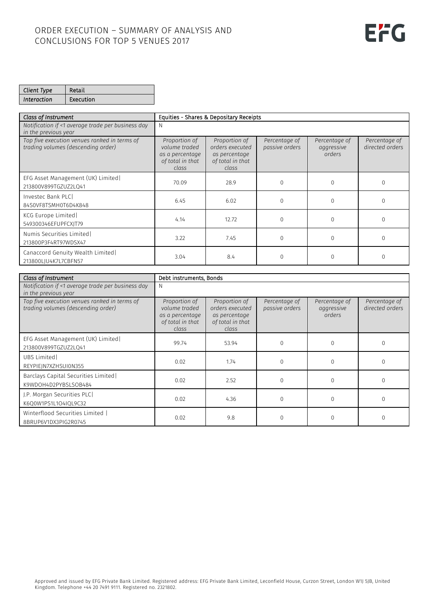| Client Type        | Retail    |
|--------------------|-----------|
| <i>Interaction</i> | Execution |

| Class of Instrument                                                                | Equities - Shares & Depositary Receipts                                        |                                                                                |                                 |                                       |                                  |
|------------------------------------------------------------------------------------|--------------------------------------------------------------------------------|--------------------------------------------------------------------------------|---------------------------------|---------------------------------------|----------------------------------|
| Notification if <1 average trade per business day<br>in the previous year          | N                                                                              |                                                                                |                                 |                                       |                                  |
| Top five execution venues ranked in terms of<br>trading volumes (descending order) | Proportion of<br>volume traded<br>as a percentage<br>of total in that<br>class | Proportion of<br>orders executed<br>as percentage<br>of total in that<br>class | Percentage of<br>passive orders | Percentage of<br>aggressive<br>orders | Percentage of<br>directed orders |
| EFG Asset Management (UK) Limited<br>213800V899TGZUZ2LQ41                          | 70.09                                                                          | 28.9                                                                           | $\Omega$                        |                                       |                                  |
| Investec Bank PLC<br>84S0VF8TSMH0T6D4K848                                          | 6.45                                                                           | 6.02                                                                           | $\Omega$                        |                                       |                                  |
| KCG Europe Limited<br>549300346EFUPFCXJT79                                         | 4.14                                                                           | 12.72                                                                          | $\Omega$                        |                                       |                                  |
| Numis Securities Limited<br>213800P3F4RT97WDSX47                                   | 3.22                                                                           | 7.45                                                                           | $\Omega$                        | $\Omega$                              | <sup>n</sup>                     |
| Canaccord Genuity Wealth Limited<br>213800LJU4K7L7CBFN57                           | 3.04                                                                           | 8.4                                                                            |                                 |                                       |                                  |

| Class of Instrument                                                                | Debt instruments, Bonds                                                        |                                                                                |                                 |                                       |                                  |
|------------------------------------------------------------------------------------|--------------------------------------------------------------------------------|--------------------------------------------------------------------------------|---------------------------------|---------------------------------------|----------------------------------|
| Notification if <1 average trade per business day<br>in the previous year          | N                                                                              |                                                                                |                                 |                                       |                                  |
| Top five execution venues ranked in terms of<br>trading volumes (descending order) | Proportion of<br>volume traded<br>as a percentage<br>of total in that<br>class | Proportion of<br>orders executed<br>as percentage<br>of total in that<br>class | Percentage of<br>passive orders | Percentage of<br>aggressive<br>orders | Percentage of<br>directed orders |
| EFG Asset Management (UK) Limited<br>213800V899TGZUZ2LQ41                          | 99.74                                                                          | 53.94                                                                          | $\Omega$                        | $\Omega$                              | $\Omega$                         |
| UBS Limited<br>REYPIEJN7XZHSUI0N355                                                | 0.02                                                                           | 1.74                                                                           | $\Omega$                        | $\Omega$                              |                                  |
| Barclays Capital Securities Limited<br>K9WDOH4D2PYBSLSOB484                        | 0.02                                                                           | 2.52                                                                           | $\Omega$                        | $\Omega$                              | $\Omega$                         |
| J.P. Morgan Securities PLC<br>K6Q0W1PS1L1O4IQL9C32                                 | 0.02                                                                           | 4.36                                                                           | $\Omega$                        | $\Omega$                              |                                  |
| Winterflood Securities Limited  <br>8BRUP6V1DX3PIG2R0745                           | 0.02                                                                           | 9.8                                                                            | $\Omega$                        | $\Omega$                              | $\Omega$                         |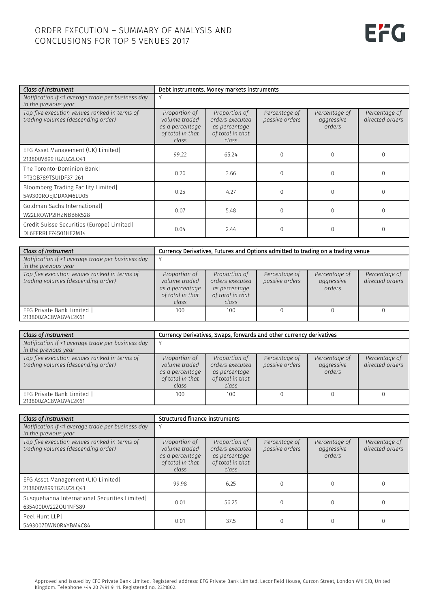| Class of Instrument                                                                | Debt instruments, Money markets instruments                                    |                                                                                |                                 |                                       |                                  |
|------------------------------------------------------------------------------------|--------------------------------------------------------------------------------|--------------------------------------------------------------------------------|---------------------------------|---------------------------------------|----------------------------------|
| Notification if <1 average trade per business day<br>in the previous year          |                                                                                |                                                                                |                                 |                                       |                                  |
| Top five execution venues ranked in terms of<br>trading volumes (descending order) | Proportion of<br>volume traded<br>as a percentage<br>of total in that<br>class | Proportion of<br>orders executed<br>as percentage<br>of total in that<br>class | Percentage of<br>passive orders | Percentage of<br>aggressive<br>orders | Percentage of<br>directed orders |
| EFG Asset Management (UK) Limited<br>213800V899TGZUZ2LQ41                          | 99.22                                                                          | 65.24                                                                          | O                               | $\Omega$                              | $\Omega$                         |
| The Toronto-Dominion Bankl<br>PT3QB789TSUIDF371261                                 | 0.26                                                                           | 3.66                                                                           | 0                               |                                       | $\Omega$                         |
| Bloomberg Trading Facility Limited<br>549300ROEJDDAXM6LU05                         | 0.25                                                                           | 4.27                                                                           |                                 |                                       |                                  |
| Goldman Sachs Internationall<br>W22LROWP2IHZNBB6K528                               | 0.07                                                                           | 5.48                                                                           | 0                               |                                       | $\cap$                           |
| Credit Suisse Securities (Europe) Limited <br>DL6FFRRLF74S01HE2M14                 | 0.04                                                                           | 2.44                                                                           |                                 |                                       |                                  |

| Class of Instrument                                                                | Currency Derivatives, Futures and Options admitted to trading on a trading venue |                                                                                |                                 |                                       |                                  |
|------------------------------------------------------------------------------------|----------------------------------------------------------------------------------|--------------------------------------------------------------------------------|---------------------------------|---------------------------------------|----------------------------------|
| Notification if <1 average trade per business day<br>in the previous year          |                                                                                  |                                                                                |                                 |                                       |                                  |
| Top five execution venues ranked in terms of<br>trading volumes (descending order) | Proportion of<br>volume traded<br>as a percentage<br>of total in that<br>class   | Proportion of<br>orders executed<br>as percentage<br>of total in that<br>class | Percentage of<br>passive orders | Percentage of<br>aggressive<br>orders | Percentage of<br>directed orders |
| EFG Private Bank Limited<br>213800ZAC8VAGV4L2K61                                   | 100                                                                              | 100                                                                            |                                 |                                       |                                  |

| Class of Instrument                                                                | Currency Derivatives, Swaps, forwards and other currency derivatives           |                                                                                |                                 |                                       |                                  |
|------------------------------------------------------------------------------------|--------------------------------------------------------------------------------|--------------------------------------------------------------------------------|---------------------------------|---------------------------------------|----------------------------------|
| Notification if <1 average trade per business day<br>in the previous year          |                                                                                |                                                                                |                                 |                                       |                                  |
| Top five execution venues ranked in terms of<br>trading volumes (descending order) | Proportion of<br>volume traded<br>as a percentage<br>of total in that<br>class | Proportion of<br>orders executed<br>as percentage<br>of total in that<br>class | Percentage of<br>passive orders | Percentage of<br>aggressive<br>orders | Percentage of<br>directed orders |
| EFG Private Bank Limited<br>213800ZAC8VAGV4L2K61                                   | 100                                                                            | 100                                                                            |                                 |                                       |                                  |

| Class of Instrument                                                                |                                                                                | Structured finance instruments                                                 |                                 |                                       |                                  |  |
|------------------------------------------------------------------------------------|--------------------------------------------------------------------------------|--------------------------------------------------------------------------------|---------------------------------|---------------------------------------|----------------------------------|--|
| Notification if <1 average trade per business day<br>in the previous year          |                                                                                |                                                                                |                                 |                                       |                                  |  |
| Top five execution venues ranked in terms of<br>trading volumes (descending order) | Proportion of<br>volume traded<br>as a percentage<br>of total in that<br>class | Proportion of<br>orders executed<br>as percentage<br>of total in that<br>class | Percentage of<br>passive orders | Percentage of<br>aggressive<br>orders | Percentage of<br>directed orders |  |
| EFG Asset Management (UK) Limited<br>213800V899TGZUZ2LO41                          | 99.98                                                                          | 6.25                                                                           |                                 |                                       |                                  |  |
| Susquehanna International Securities Limited<br>635400IAV22ZOU1NFS89               | 0.01                                                                           | 56.25                                                                          |                                 |                                       |                                  |  |
| Peel Hunt LLPI<br>5493007DWN0R4YBM4C84                                             | 0.01                                                                           | 37.5                                                                           |                                 |                                       |                                  |  |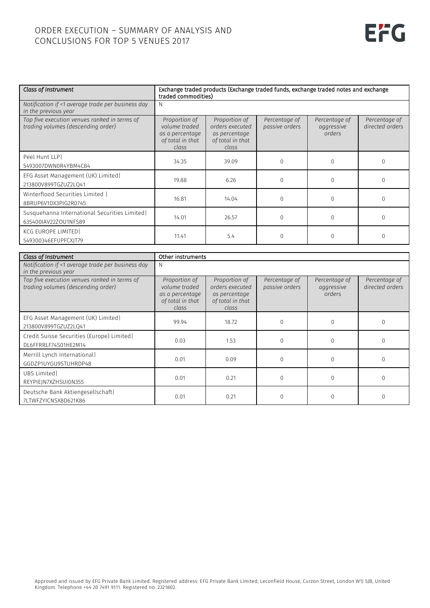| Class of Instrument                                                                | Exchange traded products (Exchange traded funds, exchange traded notes and exchange<br>traded commodities) |                                                                                |                                 |                                       |                                  |
|------------------------------------------------------------------------------------|------------------------------------------------------------------------------------------------------------|--------------------------------------------------------------------------------|---------------------------------|---------------------------------------|----------------------------------|
| Notification if <1 average trade per business day<br>in the previous year          | N                                                                                                          |                                                                                |                                 |                                       |                                  |
| Top five execution venues ranked in terms of<br>trading volumes (descending order) | Proportion of<br>volume traded<br>as a percentage<br>of total in that<br>class                             | Proportion of<br>orders executed<br>as percentage<br>of total in that<br>class | Percentage of<br>passive orders | Percentage of<br>aggressive<br>orders | Percentage of<br>directed orders |
| Peel Hunt LLP<br>5493007DWN0R4YBM4C84                                              | 34.35                                                                                                      | 39.09                                                                          | $\Omega$                        | 0                                     | $\Omega$                         |
| EFG Asset Management (UK) Limited<br>213800V899TGZUZ2LQ41                          | 19.88                                                                                                      | 6.26                                                                           | 0                               |                                       |                                  |
| Winterflood Securities Limited  <br>8BRUP6V1DX3PIG2R0745                           | 16.81                                                                                                      | 14.04                                                                          | $\Omega$                        | $\Omega$                              | $\Omega$                         |
| Susquehanna International Securities Limited<br>635400IAV22ZOU1NFS89               | 14.01                                                                                                      | 26.57                                                                          | 0                               | $\Omega$                              | $\Omega$                         |
| KCG EUROPE LIMITED<br>549300346EFUPFCXJT79                                         | 11.41                                                                                                      | 5.4                                                                            |                                 |                                       |                                  |

| Class of Instrument                                                                | Other instruments                                                              |                                                                                |                                 |                                       |                                  |
|------------------------------------------------------------------------------------|--------------------------------------------------------------------------------|--------------------------------------------------------------------------------|---------------------------------|---------------------------------------|----------------------------------|
| Notification if <1 average trade per business day<br>in the previous year          |                                                                                |                                                                                |                                 |                                       |                                  |
| Top five execution venues ranked in terms of<br>trading volumes (descending order) | Proportion of<br>volume traded<br>as a percentage<br>of total in that<br>class | Proportion of<br>orders executed<br>as percentage<br>of total in that<br>class | Percentage of<br>passive orders | Percentage of<br>aggressive<br>orders | Percentage of<br>directed orders |
| EFG Asset Management (UK) Limited<br>213800V899TGZUZ2LQ41                          | 99.94                                                                          | 18.72                                                                          | $\Omega$                        | 0                                     |                                  |
| Credit Suisse Securities (Europe) Limited <br>DL6FFRRLF74S01HE2M14                 | 0.03                                                                           | 1.53                                                                           | $\mathbf 0$                     | 0                                     | $\Omega$                         |
| Merrill Lynch International<br>GGDZP1UYGU9STUHRDP48                                | 0.01                                                                           | 0.09                                                                           | $\Omega$                        | $\cap$                                | $\cap$                           |
| UBS Limited<br>REYPIEJN7XZHSUI0N355                                                | 0.01                                                                           | 0.21                                                                           | $\Omega$                        | $\Omega$                              | $\Omega$                         |
| Deutsche Bank Aktiengesellschaft<br>7LTWFZYICNSX8D621K86                           | 0.01                                                                           | 0.21                                                                           | $\Omega$                        | 0                                     |                                  |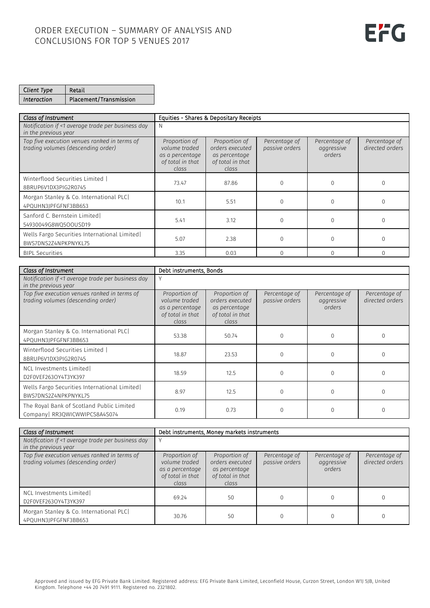| Client Type | Retail                 |
|-------------|------------------------|
| Interaction | Placement/Transmission |

| Class of Instrument                                                                | Equities - Shares & Depositary Receipts                                        |                                                                                |                                 |                                       |                                  |
|------------------------------------------------------------------------------------|--------------------------------------------------------------------------------|--------------------------------------------------------------------------------|---------------------------------|---------------------------------------|----------------------------------|
| Notification if <1 average trade per business day<br>in the previous year          | N                                                                              |                                                                                |                                 |                                       |                                  |
| Top five execution venues ranked in terms of<br>trading volumes (descending order) | Proportion of<br>volume traded<br>as a percentage<br>of total in that<br>class | Proportion of<br>orders executed<br>as percentage<br>of total in that<br>class | Percentage of<br>passive orders | Percentage of<br>aggressive<br>orders | Percentage of<br>directed orders |
| Winterflood Securities Limited  <br>8BRUP6V1DX3PIG2R0745                           | 73.47                                                                          | 87.86                                                                          | $\Omega$                        |                                       |                                  |
| Morgan Stanley & Co. International PLC<br>4PQUHN3JPFGFNF3BB653                     | 10.1                                                                           | 5.51                                                                           | $\Omega$                        | O                                     |                                  |
| Sanford C. Bernstein Limited<br>54930049G8WQ5OOUSD19                               | 5.41                                                                           | 3.12                                                                           | $\Omega$                        |                                       |                                  |
| Wells Fargo Securities International Limited<br>BWS7DNS2Z4NPKPNYKL75               | 5.07                                                                           | 2.38                                                                           | $\Omega$                        |                                       |                                  |
| <b>BIPL Securities</b>                                                             | 3.35                                                                           | 0.03                                                                           | $\Omega$                        |                                       |                                  |

| Class of Instrument                                                                | Debt instruments, Bonds                                                        |                                                                                |                                 |                                       |                                  |
|------------------------------------------------------------------------------------|--------------------------------------------------------------------------------|--------------------------------------------------------------------------------|---------------------------------|---------------------------------------|----------------------------------|
| Notification if <1 average trade per business day<br>in the previous year          | V                                                                              |                                                                                |                                 |                                       |                                  |
| Top five execution venues ranked in terms of<br>trading volumes (descending order) | Proportion of<br>volume traded<br>as a percentage<br>of total in that<br>class | Proportion of<br>orders executed<br>as percentage<br>of total in that<br>class | Percentage of<br>passive orders | Percentage of<br>aggressive<br>orders | Percentage of<br>directed orders |
| Morgan Stanley & Co. International PLC<br>4PQUHN3JPFGFNF3BB653                     | 53.38                                                                          | 50.74                                                                          | $\Omega$                        |                                       |                                  |
| Winterflood Securities Limited  <br>8BRUP6V1DX3PIG2R0745                           | 18.87                                                                          | 23.53                                                                          | $\mathbf 0$                     |                                       |                                  |
| NCL Investments Limited<br>D2F0VEF263OY4T3YK397                                    | 18.59                                                                          | 12.5                                                                           | $\Omega$                        |                                       |                                  |
| Wells Fargo Securities International Limited<br>BWS7DNS2Z4NPKPNYKL75               | 8.97                                                                           | 12.5                                                                           | $\Omega$                        |                                       |                                  |
| The Royal Bank of Scotland Public Limited<br>Company RR3QWICWWIPCS8A4S074          | 0.19                                                                           | 0.73                                                                           |                                 |                                       |                                  |

| Class of Instrument                                                                | Debt instruments. Money markets instruments                                    |                                                                                |                                 |                                       |                                  |
|------------------------------------------------------------------------------------|--------------------------------------------------------------------------------|--------------------------------------------------------------------------------|---------------------------------|---------------------------------------|----------------------------------|
| Notification if <1 average trade per business day<br>in the previous year          |                                                                                |                                                                                |                                 |                                       |                                  |
| Top five execution venues ranked in terms of<br>trading volumes (descending order) | Proportion of<br>volume traded<br>as a percentage<br>of total in that<br>class | Proportion of<br>orders executed<br>as percentage<br>of total in that<br>class | Percentage of<br>passive orders | Percentage of<br>aggressive<br>orders | Percentage of<br>directed orders |
| NCL Investments Limited<br>D2F0VEF263OY4T3YK397                                    | 69.24                                                                          | 50                                                                             |                                 |                                       |                                  |
| Morgan Stanley & Co. International PLC<br>4PQUHN3JPFGFNF3BB653                     | 30.76                                                                          | 50                                                                             |                                 |                                       |                                  |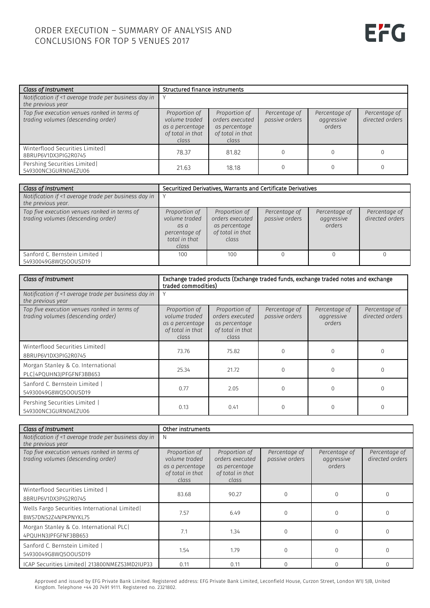| Class of Instrument                                                                | Structured finance instruments                                                 |                                                                                |                                 |                                       |                                  |
|------------------------------------------------------------------------------------|--------------------------------------------------------------------------------|--------------------------------------------------------------------------------|---------------------------------|---------------------------------------|----------------------------------|
| Notification if <1 average trade per business day in<br>the previous year          |                                                                                |                                                                                |                                 |                                       |                                  |
| Top five execution venues ranked in terms of<br>trading volumes (descending order) | Proportion of<br>volume traded<br>as a percentage<br>of total in that<br>class | Proportion of<br>orders executed<br>as percentage<br>of total in that<br>class | Percentage of<br>passive orders | Percentage of<br>aggressive<br>orders | Percentage of<br>directed orders |
| Winterflood Securities Limited<br>8BRUP6V1DX3PIG2R0745                             | 78.37                                                                          | 81.82                                                                          | $\Omega$                        |                                       |                                  |
| Pershing Securities Limited<br>549300NC3GURN0AEZU06                                | 21.63                                                                          | 18.18                                                                          | 0                               |                                       |                                  |

| Class of Instrument                                                                | Securitized Derivatives, Warrants and Certificate Derivatives                     |                                                                                |                                 |                                       |                                  |
|------------------------------------------------------------------------------------|-----------------------------------------------------------------------------------|--------------------------------------------------------------------------------|---------------------------------|---------------------------------------|----------------------------------|
| Notification if <1 average trade per business day in<br>the previous year.         |                                                                                   |                                                                                |                                 |                                       |                                  |
| Top five execution venues ranked in terms of<br>trading volumes (descending order) | Proportion of<br>volume traded<br>as a<br>percentage of<br>total in that<br>class | Proportion of<br>orders executed<br>as percentage<br>of total in that<br>class | Percentage of<br>passive orders | Percentage of<br>aggressive<br>orders | Percentage of<br>directed orders |
| Sanford C. Bernstein Limited  <br>54930049G8WO5OOUSD19                             | 100                                                                               | 100                                                                            |                                 |                                       |                                  |

| Class of Instrument                                                                | Exchange traded products (Exchange traded funds, exchange traded notes and exchange<br>traded commodities) |                                                                                |                                 |                                       |                                  |
|------------------------------------------------------------------------------------|------------------------------------------------------------------------------------------------------------|--------------------------------------------------------------------------------|---------------------------------|---------------------------------------|----------------------------------|
| Notification if <1 average trade per business day in<br>the previous year          |                                                                                                            |                                                                                |                                 |                                       |                                  |
| Top five execution venues ranked in terms of<br>trading volumes (descending order) | Proportion of<br>volume traded<br>as a percentage<br>of total in that<br>class                             | Proportion of<br>orders executed<br>as percentage<br>of total in that<br>class | Percentage of<br>passive orders | Percentage of<br>aggressive<br>orders | Percentage of<br>directed orders |
| Winterflood Securities Limited<br>8BRUP6V1DX3PIG2R0745                             | 73.76                                                                                                      | 75.82                                                                          | $\Omega$                        |                                       |                                  |
| Morgan Stanley & Co. International<br>PLC14POUHN3IPFGFNF3BB653                     | 25.34                                                                                                      | 21.72                                                                          | $\Omega$                        |                                       |                                  |
| Sanford C. Bernstein Limited  <br>54930049G8WQ5OOUSD19                             | 0.77                                                                                                       | 2.05                                                                           | $\Omega$                        |                                       |                                  |
| Pershing Securities Limited  <br>549300NC3GURN0AEZU06                              | 0.13                                                                                                       | 0.41                                                                           |                                 |                                       |                                  |

| Class of Instrument                                                                | Other instruments                                                              |                                                                                |                                 |                                       |                                  |
|------------------------------------------------------------------------------------|--------------------------------------------------------------------------------|--------------------------------------------------------------------------------|---------------------------------|---------------------------------------|----------------------------------|
| Notification if <1 average trade per business day in<br>the previous year          | N                                                                              |                                                                                |                                 |                                       |                                  |
| Top five execution venues ranked in terms of<br>trading volumes (descending order) | Proportion of<br>volume traded<br>as a percentage<br>of total in that<br>class | Proportion of<br>orders executed<br>as percentage<br>of total in that<br>class | Percentage of<br>passive orders | Percentage of<br>aggressive<br>orders | Percentage of<br>directed orders |
| Winterflood Securities Limited  <br>8BRUP6V1DX3PIG2R0745                           | 83.68                                                                          | 90.27                                                                          | $\Omega$                        | $\Omega$                              | <sup>0</sup>                     |
| Wells Fargo Securities International Limited<br>BWS7DNS2Z4NPKPNYKL75               | 7.57                                                                           | 6.49                                                                           | $\Omega$                        | $\Omega$                              |                                  |
| Morgan Stanley & Co. International PLC<br>4PQUHN3JPFGFNF3BB653                     | 7.1                                                                            | 1.34                                                                           | $\Omega$                        | $\Omega$                              |                                  |
| Sanford C. Bernstein Limited  <br>54930049G8WQ5OOUSD19                             | 1.54                                                                           | 1.79                                                                           | $\Omega$                        | $\Omega$                              |                                  |
| ICAP Securities Limited   213800NMEZS3MD2IUP33                                     | 0.11                                                                           | 0.11                                                                           | $\Omega$                        | $\cap$                                |                                  |

Approved and issued by EFG Private Bank Limited. Registered address: EFG Private Bank Limited, Leconfield House, Curzon Street, London W1J 5JB, United Kingdom. Telephone +44 20 7491 9111. Registered no. 2321802.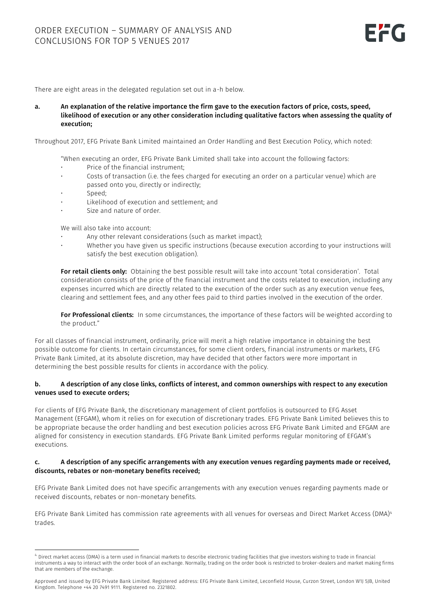There are eight areas in the delegated regulation set out in a-h below.

a. An explanation of the relative importance the firm gave to the execution factors of price, costs, speed, likelihood of execution or any other consideration including qualitative factors when assessing the quality of execution;

Throughout 2017, EFG Private Bank Limited maintained an Order Handling and Best Execution Policy, which noted:

"When executing an order, EFG Private Bank Limited shall take into account the following factors:

- Price of the financial instrument;
- Costs of transaction (i.e. the fees charged for executing an order on a particular venue) which are passed onto you, directly or indirectly;
- Speed:

j

- Likelihood of execution and settlement; and
- Size and nature of order.

We will also take into account:

- Any other relevant considerations (such as market impact);
- Whether you have given us specific instructions (because execution according to your instructions will satisfy the best execution obligation).

For retail clients only: Obtaining the best possible result will take into account 'total consideration'. Total consideration consists of the price of the financial instrument and the costs related to execution, including any expenses incurred which are directly related to the execution of the order such as any execution venue fees, clearing and settlement fees, and any other fees paid to third parties involved in the execution of the order.

For Professional clients: In some circumstances, the importance of these factors will be weighted according to the product."

For all classes of financial instrument, ordinarily, price will merit a high relative importance in obtaining the best possible outcome for clients. In certain circumstances, for some client orders, financial instruments or markets, EFG Private Bank Limited, at its absolute discretion, may have decided that other factors were more important in determining the best possible results for clients in accordance with the policy.

### b. A description of any close links, conflicts of interest, and common ownerships with respect to any execution venues used to execute orders;

For clients of EFG Private Bank, the discretionary management of client portfolios is outsourced to EFG Asset Management (EFGAM), whom it relies on for execution of discretionary trades. EFG Private Bank Limited believes this to be appropriate because the order handling and best execution policies across EFG Private Bank Limited and EFGAM are aligned for consistency in execution standards. EFG Private Bank Limited performs regular monitoring of EFGAM's executions.

#### c. A description of any specific arrangements with any execution venues regarding payments made or received, discounts, rebates or non-monetary benefits received;

EFG Private Bank Limited does not have specific arrangements with any execution venues regarding payments made or received discounts, rebates or non-monetary benefits.

EFG Private Bank Limited has commission rate agreements with all venues for overseas and Direct Market Access (DMA)<sup>4</sup> trades.

<sup>4</sup> Direct market access (DMA) is a term used in financial markets to describe electronic trading facilities that give investors wishing to trade in financial instruments a way to interact with the order book of an exchange. Normally, trading on the order book is restricted to broker-dealers and market making firms that are members of the exchange.

Approved and issued by EFG Private Bank Limited. Registered address: EFG Private Bank Limited, Leconfield House, Curzon Street, London W1J 5JB, United Kingdom. Telephone +44 20 7491 9111. Registered no. 2321802.